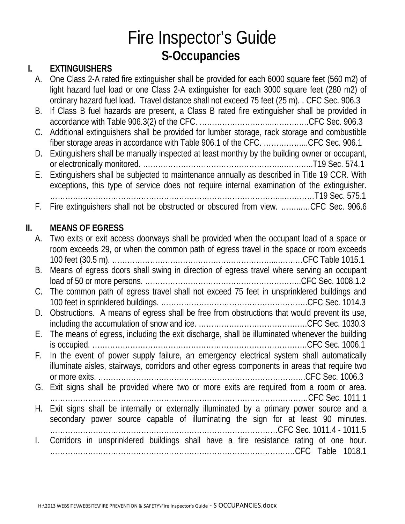# Fire Inspector's Guide **S-Occupancies**

### **I. EXTINGUISHERS**

| A. One Class 2-A rated fire extinguisher shall be provided for each 6000 square feet (560 m2) of |
|--------------------------------------------------------------------------------------------------|
| light hazard fuel load or one Class 2-A extinguisher for each 3000 square feet (280 m2) of       |
| ordinary hazard fuel load. Travel distance shall not exceed 75 feet (25 m). CFC Sec. 906.3       |

- B. If Class B fuel hazards are present, a Class B rated fire extinguisher shall be provided in accordance with Table 906.3(2) of the CFC. ………………………...……….….CFC Sec. 906.3
- C. Additional extinguishers shall be provided for lumber storage, rack storage and combustible fiber storage areas in accordance with Table 906.1 of the CFC. ……………...CFC Sec. 906.1
- D. Extinguishers shall be manually inspected at least monthly by the building owner or occupant, or electronically monitored. ………………………………………………..…….…..T19 Sec. 574.1

E. Extinguishers shall be subjected to maintenance annually as described in Title 19 CCR. With exceptions, this type of service does not require internal examination of the extinguisher. ………………………………………………………………………………...…………T19 Sec. 575.1

F. Fire extinguishers shall not be obstructed or obscured from view. ……...…CFC Sec. 906.6

### **II. MEANS OF EGRESS**

| А.           | Two exits or exit access doorways shall be provided when the occupant load of a space or<br>room exceeds 29, or when the common path of egress travel in the space or room exceeds        |
|--------------|-------------------------------------------------------------------------------------------------------------------------------------------------------------------------------------------|
| В.           | Means of egress doors shall swing in direction of egress travel where serving an occupant                                                                                                 |
| C.           | The common path of egress travel shall not exceed 75 feet in unsprinklered buildings and                                                                                                  |
| D.           | Obstructions. A means of egress shall be free from obstructions that would prevent its use,                                                                                               |
| Е.           | The means of egress, including the exit discharge, shall be illuminated whenever the building                                                                                             |
| F.           | In the event of power supply failure, an emergency electrical system shall automatically<br>illuminate aisles, stairways, corridors and other egress components in areas that require two |
| G.           | Exit signs shall be provided where two or more exits are required from a room or area.                                                                                                    |
| Н.           | Exit signs shall be internally or externally illuminated by a primary power source and a<br>secondary power source capable of illuminating the sign for at least 90 minutes.              |
| $\mathbf{L}$ | Corridors in unsprinklered buildings shall have a fire resistance rating of one hour.                                                                                                     |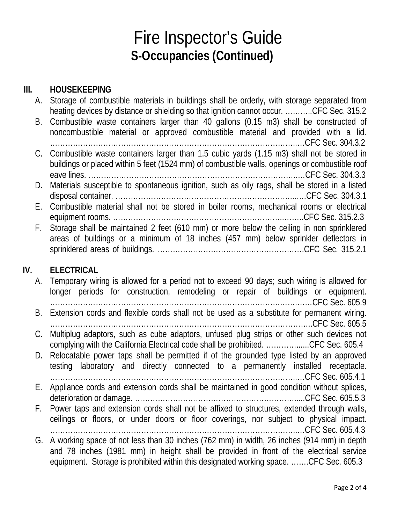## Fire Inspector's Guide **S-Occupancies (Continued)**

#### **III. HOUSEKEEPING**

| А. | Storage of combustible materials in buildings shall be orderly, with storage separated from      |
|----|--------------------------------------------------------------------------------------------------|
|    | heating devices by distance or shielding so that ignition cannot occur. CFC Sec. 315.2           |
| B. | Combustible waste containers larger than 40 gallons (0.15 m3) shall be constructed of            |
|    | noncombustible material or approved combustible material and provided with a lid.                |
|    |                                                                                                  |
|    | C. Combustible waste containers larger than 1.5 cubic yards (1.15 m3) shall not be stored in     |
|    | buildings or placed within 5 feet (1524 mm) of combustible walls, openings or combustible roof   |
|    |                                                                                                  |
|    | D. Materials susceptible to spontaneous ignition, such as oily rags, shall be stored in a listed |
|    |                                                                                                  |
| Е. | Combustible material shall not be stored in boiler rooms, mechanical rooms or electrical         |
|    |                                                                                                  |
| F. | Storage shall be maintained 2 feet (610 mm) or more below the ceiling in non sprinklered         |
|    | areas of buildings or a minimum of 18 inches (457 mm) below sprinkler deflectors in              |
|    |                                                                                                  |
|    |                                                                                                  |

#### **IV. ELECTRICAL**

A. Temporary wiring is allowed for a period not to exceed 90 days; such wiring is allowed for longer periods for construction, remodeling or repair of buildings or equipment. ……………………………………………………………………………….…….……CFC Sec. 605.9 B. Extension cords and flexible cords shall not be used as a substitute for permanent wiring. …………………………………………………………………………………………..CFC Sec. 605.5 C. Multiplug adaptors, such as cube adaptors, unfused plug strips or other such devices not complying with the California Electrical code shall be prohibited. …………......CFC Sec. 605.4 D. Relocatable power taps shall be permitted if of the grounded type listed by an approved testing laboratory and directly connected to a permanently installed receptacle. ……………………………………………………………………………………..…CFC Sec. 605.4.1 E. Appliance cords and extension cords shall be maintained in good condition without splices, deterioration or damage. ……………………………………………………….....CFC Sec. 605.5.3 F. Power taps and extension cords shall not be affixed to structures, extended through walls, ceilings or floors, or under doors or floor coverings, nor subject to physical impact. ……………………………………………………………………………………..…CFC Sec. 605.4.3 G. A working space of not less than 30 inches (762 mm) in width, 26 inches (914 mm) in depth and 78 inches (1981 mm) in height shall be provided in front of the electrical service equipment. Storage is prohibited within this designated working space. …….CFC Sec. 605.3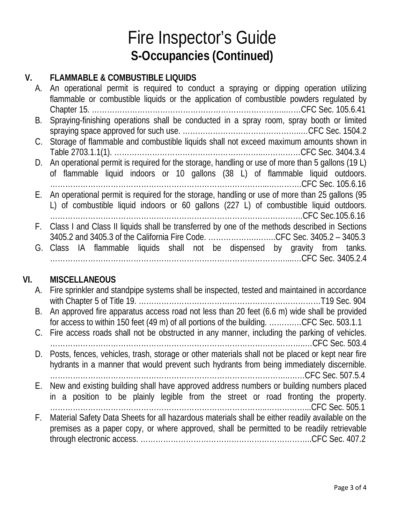## Fire Inspector's Guide **S-Occupancies (Continued)**

### **V. FLAMMABLE & COMBUSTIBLE LIQUIDS**

|    | A. An operational permit is required to conduct a spraying or dipping operation utilizing<br>flammable or combustible liquids or the application of combustible powders regulated by        |
|----|---------------------------------------------------------------------------------------------------------------------------------------------------------------------------------------------|
| В. | Spraying-finishing operations shall be conducted in a spray room, spray booth or limited                                                                                                    |
|    | C. Storage of flammable and combustible liquids shall not exceed maximum amounts shown in                                                                                                   |
|    | D. An operational permit is required for the storage, handling or use of more than 5 gallons (19 L)                                                                                         |
|    | of flammable liquid indoors or 10 gallons (38 L) of flammable liquid outdoors.                                                                                                              |
|    | E. An operational permit is required for the storage, handling or use of more than 25 gallons (95<br>L) of combustible liquid indoors or 60 gallons (227 L) of combustible liquid outdoors. |
|    |                                                                                                                                                                                             |
|    | F. Class I and Class II liquids shall be transferred by one of the methods described in Sections<br>3405.2 and 3405.3 of the California Fire Code. CFC Sec. 3405.2 - 3405.3                 |
|    | G. Class IA flammable liquids shall not be dispensed by gravity from tanks.                                                                                                                 |
|    |                                                                                                                                                                                             |

### **VI. MISCELLANEOUS**

|    | A. Fire sprinkler and standpipe systems shall be inspected, tested and maintained in accordance     |
|----|-----------------------------------------------------------------------------------------------------|
|    | B. An approved fire apparatus access road not less than 20 feet (6.6 m) wide shall be provided      |
|    | for access to within 150 feet (49 m) of all portions of the building. CFC Sec. 503.1.1              |
|    | C. Fire access roads shall not be obstructed in any manner, including the parking of vehicles.      |
|    |                                                                                                     |
|    | D. Posts, fences, vehicles, trash, storage or other materials shall not be placed or kept near fire |
|    | hydrants in a manner that would prevent such hydrants from being immediately discernible.           |
|    |                                                                                                     |
|    | E. New and existing building shall have approved address numbers or building numbers placed         |
|    | in a position to be plainly legible from the street or road fronting the property.                  |
|    |                                                                                                     |
| F. | Material Safety Data Sheets for all hazardous materials shall be either readily available on the    |
|    | premises as a paper copy, or where approved, shall be permitted to be readily retrievable           |
|    |                                                                                                     |